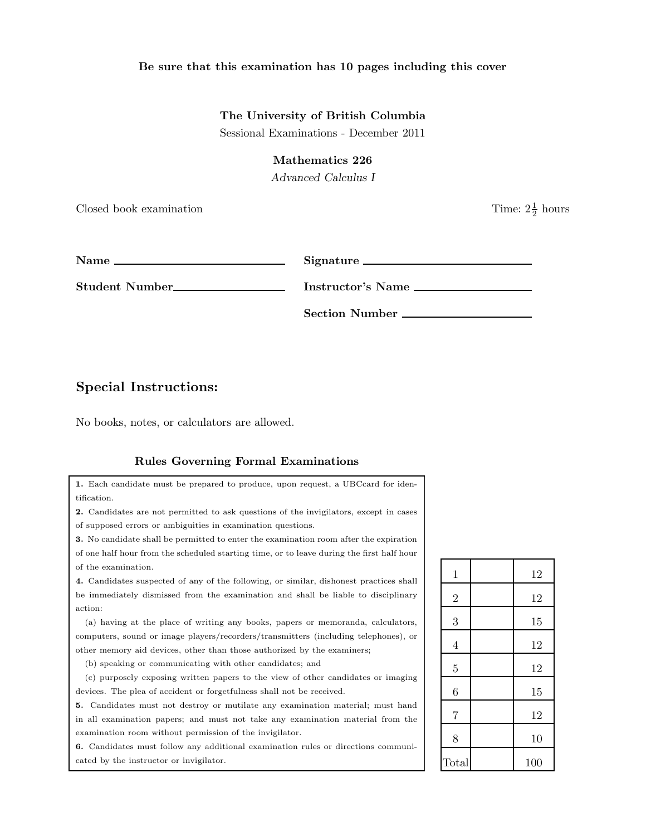#### Be sure that this examination has 10 pages including this cover

#### The University of British Columbia

Sessional Examinations - December 2011

### Mathematics 226

Advanced Calculus I

Closed book examination

 $\frac{1}{2}$  hours

| т<br>√ame | ÷<br>◡. |
|-----------|---------|
| -         |         |
|           |         |

ignature \_

Student Number<br>
<u>Instructor's Name</u>

Section Number

# Special Instructions:

No books, notes, or calculators are allowed.

## Rules Governing Formal Examinations

1. Each candidate must be prepared to produce, upon request, a UBCcard for identification. 2. Candidates are not permitted to ask questions of the invigilators, except in cases of supposed errors or ambiguities in examination questions. 3. No candidate shall be permitted to enter the examination room after the expiration of one half hour from the scheduled starting time, or to leave during the first half hour of the examination. 4. Candidates suspected of any of the following, or similar, dishonest practices shall be immediately dismissed from the examination and shall be liable to disciplinary action: (a) having at the place of writing any books, papers or memoranda, calculators, computers, sound or image players/recorders/transmitters (including telephones), or other memory aid devices, other than those authorized by the examiners; (b) speaking or communicating with other candidates; and (c) purposely exposing written papers to the view of other candidates or imaging devices. The plea of accident or forgetfulness shall not be received. 5. Candidates must not destroy or mutilate any examination material; must hand in all examination papers; and must not take any examination material from the examination room without permission of the invigilator.

6. Candidates must follow any additional examination rules or directions communicated by the instructor or invigilator.

| $\mathbf{1}$   | 12  |
|----------------|-----|
| $\overline{2}$ | 12  |
| 3              | 15  |
| $\overline{4}$ | 12  |
| $\overline{5}$ | 12  |
| 6              | 15  |
| $\overline{7}$ | 12  |
| 8              | 10  |
| Total          | 100 |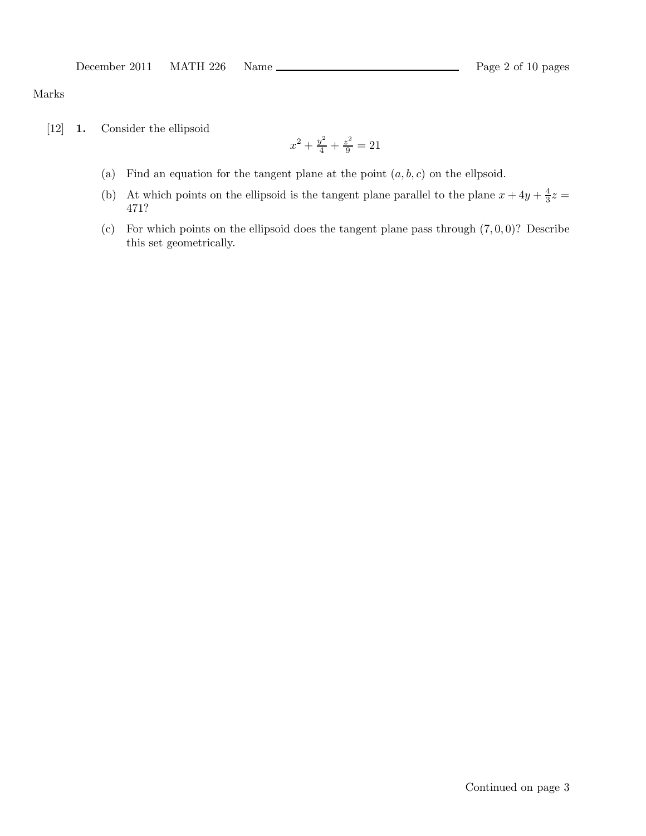### Marks

[12] 1. Consider the ellipsoid

$$
x^2 + \frac{y^2}{4} + \frac{z^2}{9} = 21
$$

- (a) Find an equation for the tangent plane at the point  $(a, b, c)$  on the ellpsoid.
- (b) At which points on the ellipsoid is the tangent plane parallel to the plane  $x + 4y + \frac{4}{3}$  $\frac{4}{3}z =$ 471?
- (c) For which points on the ellipsoid does the tangent plane pass through  $(7, 0, 0)$ ? Describe this set geometrically.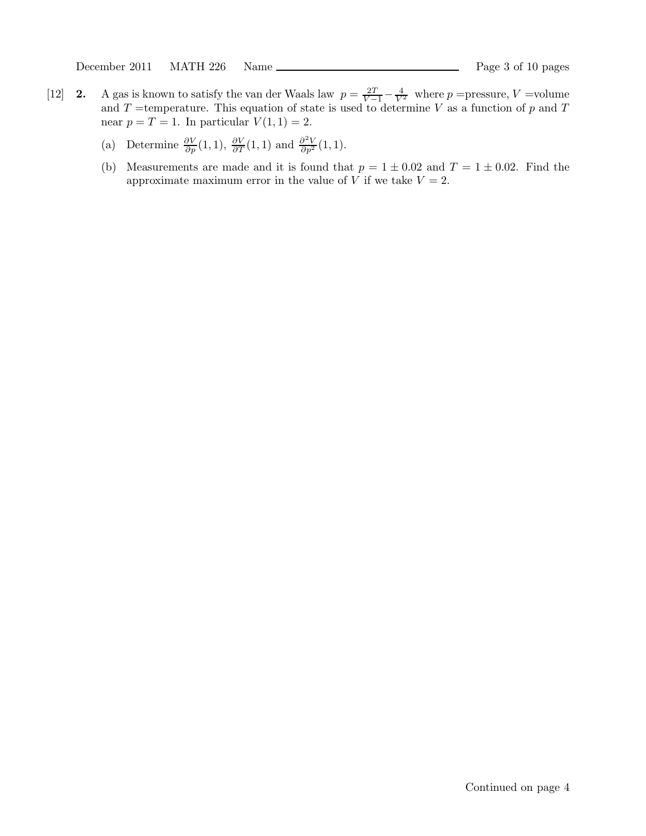December 2011 MATH 226 Name Page 3 of 10 pages

- [12] **2.** A gas is known to satisfy the van der Waals law  $p = \frac{2T}{V-1} \frac{4}{V^2}$  where p =pressure, V =volume and T =temperature. This equation of state is used to determine V as a function of p and T near  $p = T = 1$ . In particular  $V(1, 1) = 2$ .
	- (a) Determine  $\frac{\partial V}{\partial p}(1,1), \frac{\partial V}{\partial T}(1,1)$  and  $\frac{\partial^2 V}{\partial p^2}(1,1)$ .
	- (b) Measurements are made and it is found that  $p = 1 \pm 0.02$  and  $T = 1 \pm 0.02$ . Find the approximate maximum error in the value of V if we take  $V = 2$ .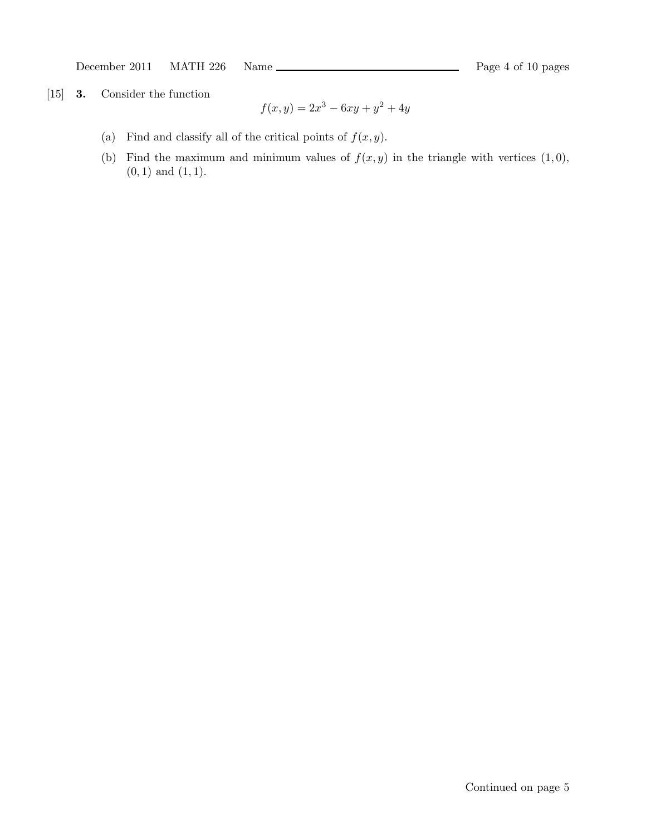December 2011 MATH 226 Name Rage 4 of 10 pages

[15] 3. Consider the function

$$
f(x,y) = 2x^3 - 6xy + y^2 + 4y
$$

- (a) Find and classify all of the critical points of  $f(x, y)$ .
- (b) Find the maximum and minimum values of  $f(x, y)$  in the triangle with vertices  $(1, 0)$ ,  $(0, 1)$  and  $(1, 1)$ .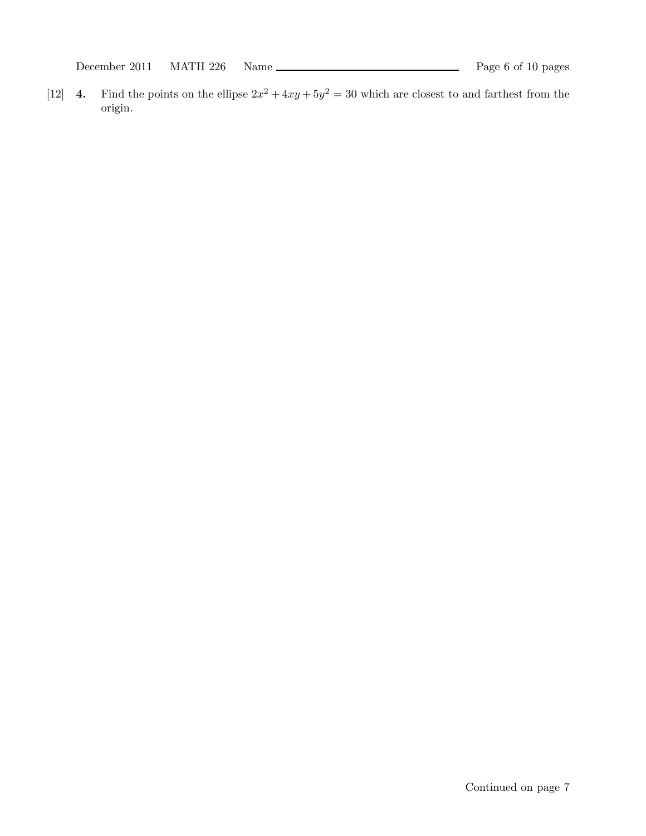[12] **4.** Find the points on the ellipse  $2x^2 + 4xy + 5y^2 = 30$  which are closest to and farthest from the origin.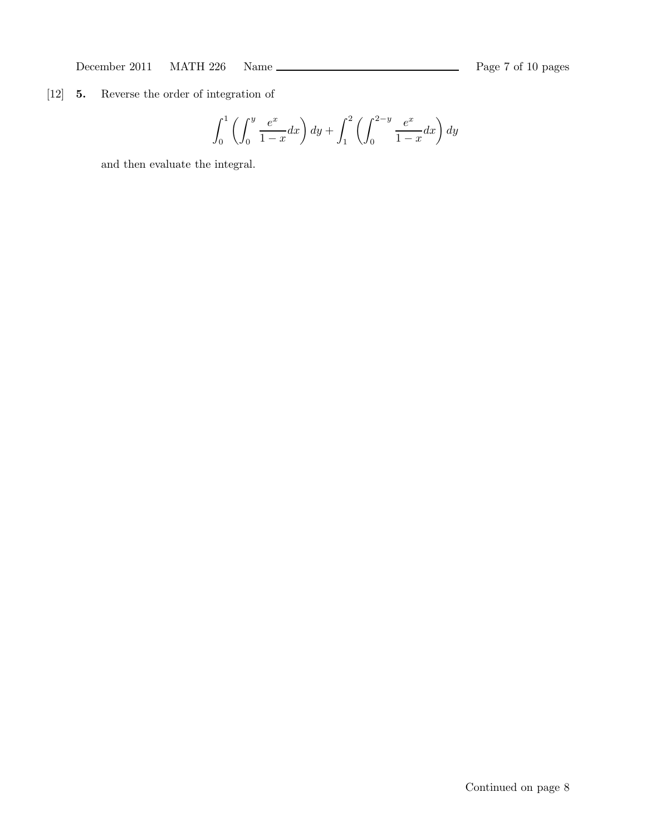# [12] 5. Reverse the order of integration of

$$
\int_0^1 \left( \int_0^y \frac{e^x}{1-x} dx \right) dy + \int_1^2 \left( \int_0^{2-y} \frac{e^x}{1-x} dx \right) dy
$$

and then evaluate the integral.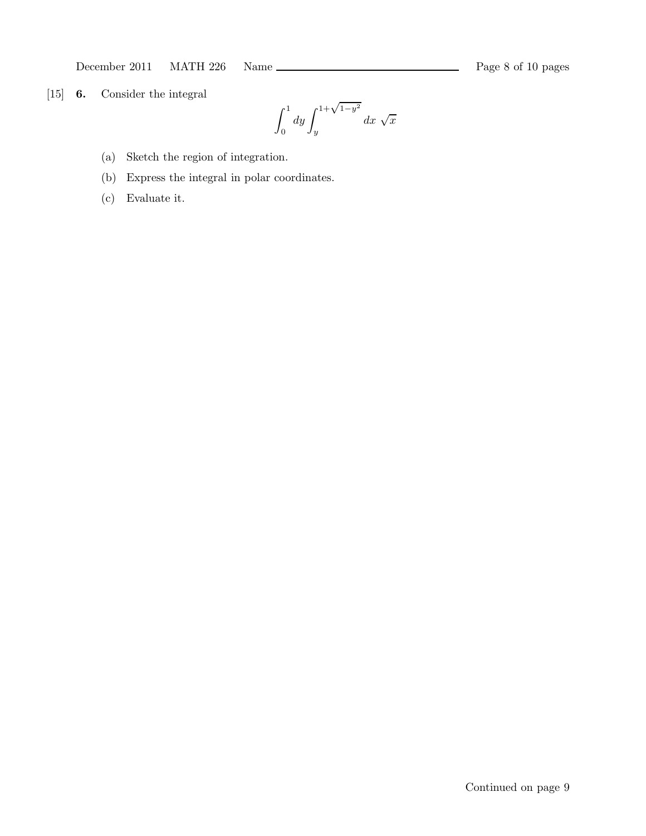[15] 6. Consider the integral

 $\int_0^1$  $\boldsymbol{0}$  $dy \int_0^{1+\sqrt{1-y^2}}$  $\overline{y}$  $dx \sqrt{x}$ 

- (a) Sketch the region of integration.
- (b) Express the integral in polar coordinates.
- (c) Evaluate it.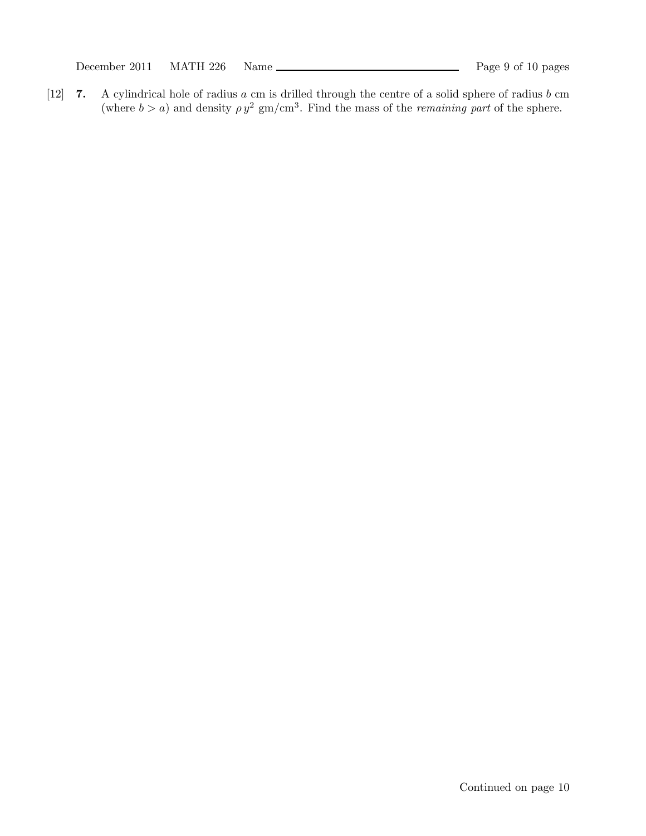December 2011 MATH 226 Name Rage 9 of 10 pages

[12] 7. A cylindrical hole of radius a cm is drilled through the centre of a solid sphere of radius b cm (where  $b > a$ ) and density  $\rho y^2$  gm/cm<sup>3</sup>. Find the mass of the *remaining part* of the sphere.